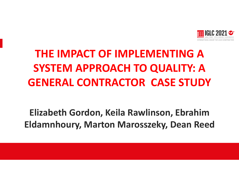

# **THE IMPACT OF IMPLEMENTING A SYSTEM APPROACH TO QUALITY: A GENERAL CONTRACTOR CASE STUDY**

**Elizabeth Gordon, Keila Rawlinson, Ebrahim Eldamnhoury, Marton Marosszeky, Dean Reed**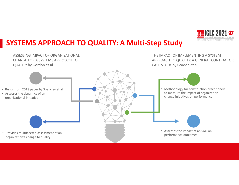

## **SYSTEMS APPROACH TO QUALITY: A Multi-Step Study**

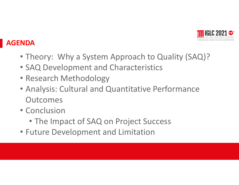

## **AGENDA**

- Theory: Why a System Approach to Quality (SAQ)?
- SAQ Development and Characteristics
- Research Methodology
- Analysis: Cultural and Quantitative Performance **Outcomes**
- Conclusion
	- The Impact of SAQ on Project Success
- Future Development and Limitation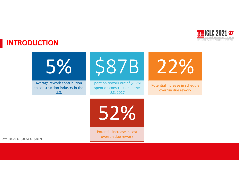

## **INTRODUCTION**

\$87B Spent on rework out of \$1.75T spent on construction in the U.S. 2017 5% Average rework contribution to construction industry in the U.S. 22% Potential increase in schedule overrun due rework



Potential increase in cost overrun due rework Love (2002), CII (2005), CII (2017)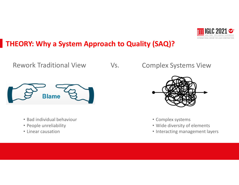

# **THEORY: Why a System Approach to Quality (SAQ)?**

Rework Traditional View





- Bad individual behaviour
- People unreliability
- Linear causation



- Complex systems
- Wide diversity of elements
- Interacting management layers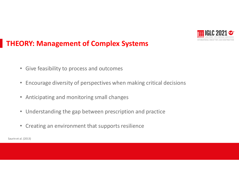

## **THEORY: Management of Complex Systems**

- Give feasibility to process and outcomes
- Encourage diversity of perspectives when making critical decisions
- Anticipating and monitoring small changes Presentación Presentación
- Understanding the gap between prescription and practice
- Creating an environment that supports resilience

Saurin et al. (2013)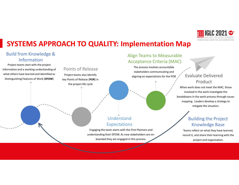

## **SYSTEMS APPROACH TO QUALITY: Implementation Map**

### Build from Knowledge & Information

Project teams start with the project information and a working understanding of what others have learned and identified as Distinguishing Features of Work (**DFOW**)

#### Points of Release

Project teams also identify key Points of Release (**POR**) in the project life cycle

### Align Teams to Measurable Acceptance Criteria (MAC)

The process involves accountable stakeholders communicating and aligning on expectations for the POR

## Evaluate Delivered Product

**Presentación Presentación Presentación Presentación Presentación Presentación Presentación Presentación Present** When work does not meet the MAC, those involved in the work investigate the mapping. Leaders develop a strategy to mitigate the situation.

## Understand Expectations

Engaging the team starts with the First Planners and understanding their DFOW. As new stakeholders are onboarded they are engaged in this process.

## Building the Project Knowledge Base

Teams reflect on what they have learned, record it, and share their learning with the project and organization.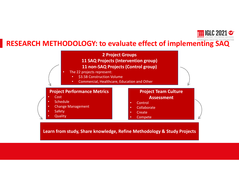

## **RESEARCH METHODOLOGY: to evaluate effect of implementing SAQ**

**2 Project Groups 11 SAQ Projects (Intervention group) 11 non-SAQ Projects (Control group)**

- The 22 projects represent:
	- \$3.5B Construction Volume
	- Commercial, Healthcare, Education and Other

### **Project Performance Metrics**

- Cost
- **Schedule**
- Change Management
- **Safety**
- **Quality**

Presentación Presentación Presentación e presentación e presentación e presentación e presentación e presentación e presentación e presentación e presentación e presentación e presentación e presentación e presentación e p Presentación **Project Team Culture Assessment** 

- Control
- **Collaborate**
- **Create**
- Compete

**Learn from study, Share knowledge, Refine Methodology & Study Projects**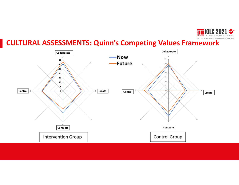

## **CULTURAL ASSESSMENTS: Quinn's Competing Values Framework**

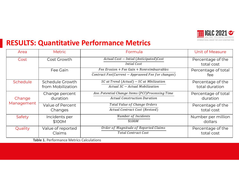

## **RESULTS: Quantitative Performance Metrics**

| Area                 | <b>Metric</b>               | Formula                                                 | <b>Unit of Measure</b> |
|----------------------|-----------------------------|---------------------------------------------------------|------------------------|
| Cost                 | Cost Growth                 | Actual Cost - Intial (Anticipated)Cost                  | Percentage of the      |
|                      |                             | Intial Cost                                             | total cost             |
|                      | Fee Gain                    | $Fee Erosion + Fee Gain + Nonreimbusrables$             | Percentage of total    |
|                      |                             | Contract Fee(Current - Appraoved Fee for changes)       | fee                    |
| Schedule             | Schedule Growth             | $\overline{SC}$ at Trend (Actual) – $SC$ at Mbilization | Percentage of the      |
|                      | from Mobilization           | Actual SC - Actual Mobilization                         | total duration         |
|                      | Change percent              | Ave. Potential Change Items (PCI)Processing Time        | Percentage of total    |
| Change<br>Management | duration                    | <b>Actual Construction Duration</b>                     | duration               |
|                      | Value of Percent            | Total Value of Change Orders                            | Percentage of the      |
|                      | Changes                     | Actual Contract Cost (Revised)                          | total cost             |
| Safety               | Incidents per               | Number of Incidents                                     | Number per million     |
|                      | \$100M                      | \$100M                                                  | dollars                |
| Quality              | Value of reported<br>Claims | Order of Magnitude of Reported Claims                   | Percentage of the      |
|                      |                             | <b>Total Contract Cost</b>                              | total cost             |

**Table 1.** Performance Metrics Calculations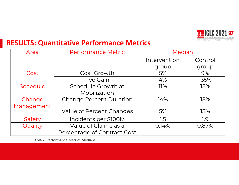

## **RESULTS: Quantitative Performance Metrics**

| Area       | <b>Performance Metric</b>      | Median       |         |
|------------|--------------------------------|--------------|---------|
|            |                                | Intervention | Control |
|            |                                | group        | group   |
| Cost       | Cost Growth                    | 5%           | 9%      |
|            | Fee Gain                       | 4%           | $-35%$  |
| Schedule   | Schedule Growth at             | 11%          | 18%     |
|            | Mobilization                   |              |         |
| Change     | <b>Change Percent Duration</b> | 14%          | 18%     |
| Management |                                |              |         |
|            | Value of Percent Changes       | 5%           | 13%     |
| Safety     | Incidents per \$100M           | 1.5          | 1.9     |
| Quality    | Value of Claims as a           | 0.14%        | 0.87%   |
|            | Percentage of Contract Cost    |              |         |

**Table 2.** Performance Metrics Medians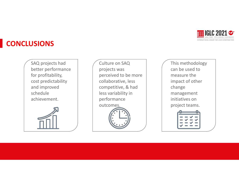

## **CONCLUSIONS**

SAQ projects had better performance for profitability, cost predictability and improved schedule achievement.



Culture on SAQ projects was perceived to be more collaborative, less competitive, & had less variability in performance outcomes.

This methodology can be used to measure the impact of other change management initiatives on project teams.

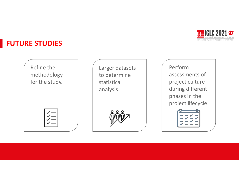

## **FUTURE STUDIES**